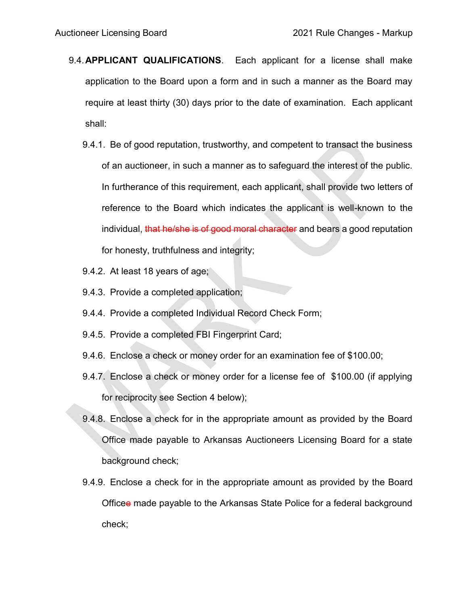- 9.4.**APPLICANT QUALIFICATIONS**. Each applicant for a license shall make application to the Board upon a form and in such a manner as the Board may require at least thirty (30) days prior to the date of examination. Each applicant shall:
	- 9.4.1. Be of good reputation, trustworthy, and competent to transact the business of an auctioneer, in such a manner as to safeguard the interest of the public. In furtherance of this requirement, each applicant, shall provide two letters of reference to the Board which indicates the applicant is well-known to the individual, that he/she is of good moral character and bears a good reputation for honesty, truthfulness and integrity;
	- 9.4.2. At least 18 years of age;
	- 9.4.3. Provide a completed application;
	- 9.4.4. Provide a completed Individual Record Check Form;
	- 9.4.5. Provide a completed FBI Fingerprint Card;
	- 9.4.6. Enclose a check or money order for an examination fee of \$100.00;
	- 9.4.7. Enclose a check or money order for a license fee of \$100.00 (if applying for reciprocity see Section 4 below);
	- 9.4.8. Enclose a check for in the appropriate amount as provided by the Board Office made payable to Arkansas Auctioneers Licensing Board for a state background check;
	- 9.4.9. Enclose a check for in the appropriate amount as provided by the Board Officee made payable to the Arkansas State Police for a federal background check;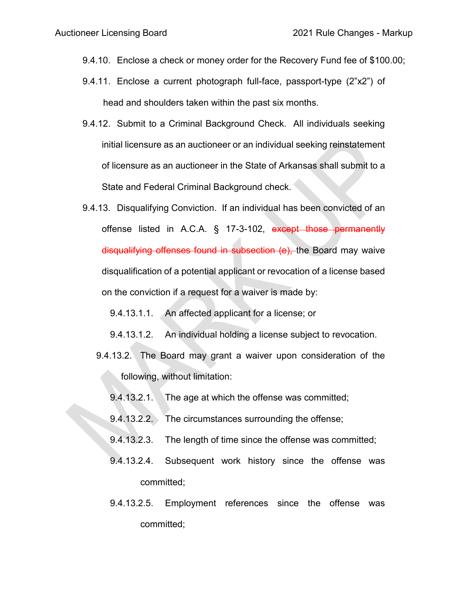- 9.4.10. Enclose a check or money order for the Recovery Fund fee of \$100.00;
- 9.4.11. Enclose a current photograph full-face, passport-type (2"x2") of head and shoulders taken within the past six months.
- 9.4.12. Submit to a Criminal Background Check. All individuals seeking initial licensure as an auctioneer or an individual seeking reinstatement of licensure as an auctioneer in the State of Arkansas shall submit to a State and Federal Criminal Background check.
- 9.4.13. Disqualifying Conviction. If an individual has been convicted of an offense listed in A.C.A. § 17-3-102, except those permanently disqualifying offenses found in subsection (e), the Board may waive disqualification of a potential applicant or revocation of a license based on the conviction if a request for a waiver is made by:
	- 9.4.13.1.1. An affected applicant for a license; or
	- 9.4.13.1.2. An individual holding a license subject to revocation.
	- 9.4.13.2. The Board may grant a waiver upon consideration of the following, without limitation:
		- 9.4.13.2.1. The age at which the offense was committed;
		- 9.4.13.2.2. The circumstances surrounding the offense;
		- 9.4.13.2.3. The length of time since the offense was committed;
		- 9.4.13.2.4. Subsequent work history since the offense was committed;
		- 9.4.13.2.5. Employment references since the offense was committed;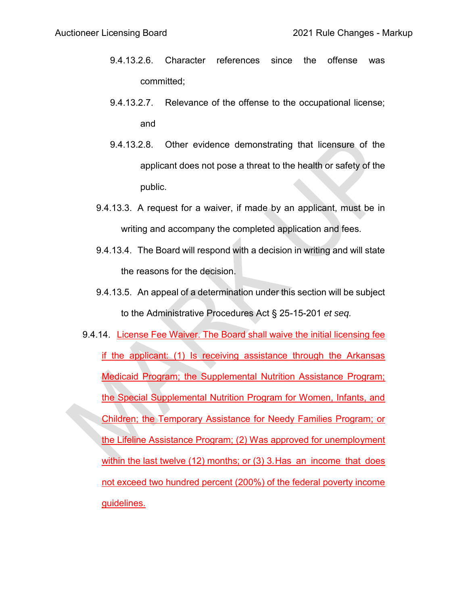- 9.4.13.2.6. Character references since the offense was committed;
- 9.4.13.2.7. Relevance of the offense to the occupational license; and
- 9.4.13.2.8. Other evidence demonstrating that licensure of the applicant does not pose a threat to the health or safety of the public.
- 9.4.13.3. A request for a waiver, if made by an applicant, must be in writing and accompany the completed application and fees.
- 9.4.13.4. The Board will respond with a decision in writing and will state the reasons for the decision.
- 9.4.13.5. An appeal of a determination under this section will be subject to the Administrative Procedures Act § 25-15-201 *et seq.*
- 9.4.14. License Fee Waiver. The Board shall waive the initial licensing fee if the applicant: (1) Is receiving assistance through the Arkansas Medicaid Program; the Supplemental Nutrition Assistance Program; the Special Supplemental Nutrition Program for Women, Infants, and Children; the Temporary Assistance for Needy Families Program; or the Lifeline Assistance Program; (2) Was approved for unemployment within the last twelve (12) months; or (3) 3.Has an income that does not exceed two hundred percent (200%) of the federal poverty income guidelines.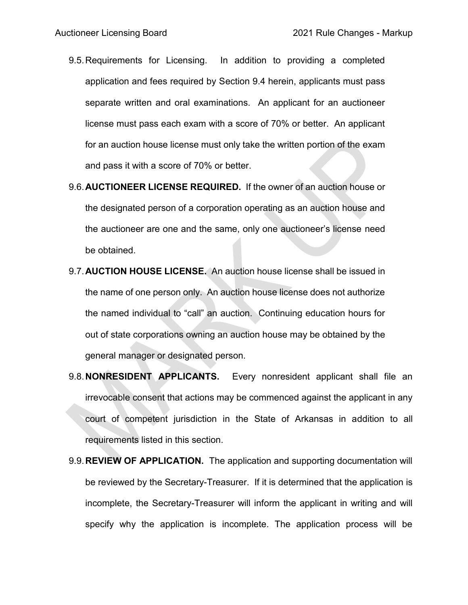- 9.5.Requirements for Licensing. In addition to providing a completed application and fees required by Section 9.4 herein, applicants must pass separate written and oral examinations. An applicant for an auctioneer license must pass each exam with a score of 70% or better. An applicant for an auction house license must only take the written portion of the exam and pass it with a score of 70% or better.
- 9.6.**AUCTIONEER LICENSE REQUIRED.** If the owner of an auction house or the designated person of a corporation operating as an auction house and the auctioneer are one and the same, only one auctioneer's license need be obtained.
- 9.7.**AUCTION HOUSE LICENSE.** An auction house license shall be issued in the name of one person only. An auction house license does not authorize the named individual to "call" an auction. Continuing education hours for out of state corporations owning an auction house may be obtained by the general manager or designated person.
- 9.8.**NONRESIDENT APPLICANTS.** Every nonresident applicant shall file an irrevocable consent that actions may be commenced against the applicant in any court of competent jurisdiction in the State of Arkansas in addition to all requirements listed in this section.
- 9.9.**REVIEW OF APPLICATION.** The application and supporting documentation will be reviewed by the Secretary-Treasurer. If it is determined that the application is incomplete, the Secretary-Treasurer will inform the applicant in writing and will specify why the application is incomplete. The application process will be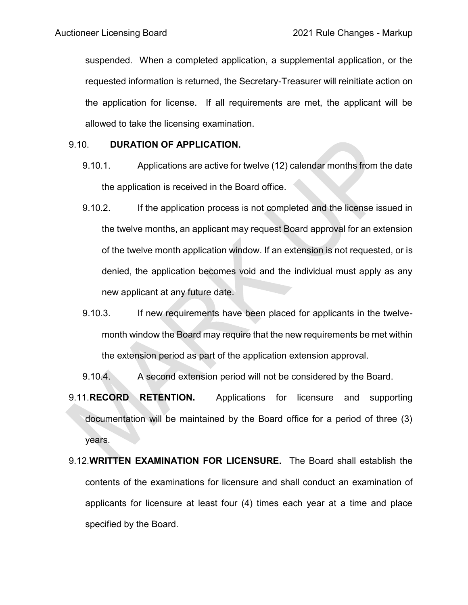suspended. When a completed application, a supplemental application, or the requested information is returned, the Secretary-Treasurer will reinitiate action on the application for license. If all requirements are met, the applicant will be allowed to take the licensing examination.

## 9.10. **DURATION OF APPLICATION.**

- 9.10.1. Applications are active for twelve (12) calendar months from the date the application is received in the Board office.
- 9.10.2. If the application process is not completed and the license issued in the twelve months, an applicant may request Board approval for an extension of the twelve month application window. If an extension is not requested, or is denied, the application becomes void and the individual must apply as any new applicant at any future date.
- 9.10.3. If new requirements have been placed for applicants in the twelvemonth window the Board may require that the new requirements be met within the extension period as part of the application extension approval.
- 9.10.4. A second extension period will not be considered by the Board.
- 9.11.**RECORD RETENTION.** Applications for licensure and supporting documentation will be maintained by the Board office for a period of three (3) years.
- 9.12.**WRITTEN EXAMINATION FOR LICENSURE.** The Board shall establish the contents of the examinations for licensure and shall conduct an examination of applicants for licensure at least four (4) times each year at a time and place specified by the Board.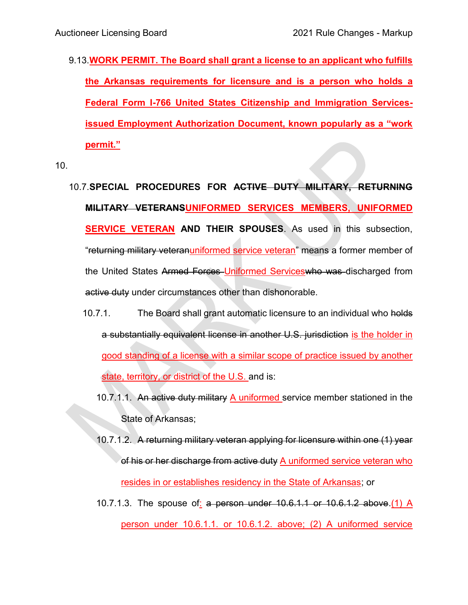9.13.**WORK PERMIT. The Board shall grant a license to an applicant who fulfills the Arkansas requirements for licensure and is a person who holds a Federal Form I-766 United States Citizenship and Immigration Servicesissued Employment Authorization Document, known popularly as a "work permit."**

10.

- 10.7.**SPECIAL PROCEDURES FOR ACTIVE DUTY MILITARY, RETURNING MILITARY VETERANSUNIFORMED SERVICES MEMBERS, UNIFORMED SERVICE VETERAN AND THEIR SPOUSES**. As used in this subsection, "returning military veteranuniformed service veteran" means a former member of the United States Armed Forces Uniformed Serviceswho was discharged from active duty under circumstances other than dishonorable.
	- 10.7.1. The Board shall grant automatic licensure to an individual who holds a substantially equivalent license in another U.S. jurisdiction is the holder in good standing of a license with a similar scope of practice issued by another state, territory, or district of the U.S. and is:
		- 10.7.1.1. An active duty military A uniformed service member stationed in the State of Arkansas;
		- 10.7.1.2. A returning military veteran applying for licensure within one (1) year of his or her discharge from active duty A uniformed service veteran who resides in or establishes residency in the State of Arkansas; or
		- 10.7.1.3. The spouse of: a person under 10.6.1.1 or 10.6.1.2 above.(1) A person under 10.6.1.1. or 10.6.1.2. above; (2) A uniformed service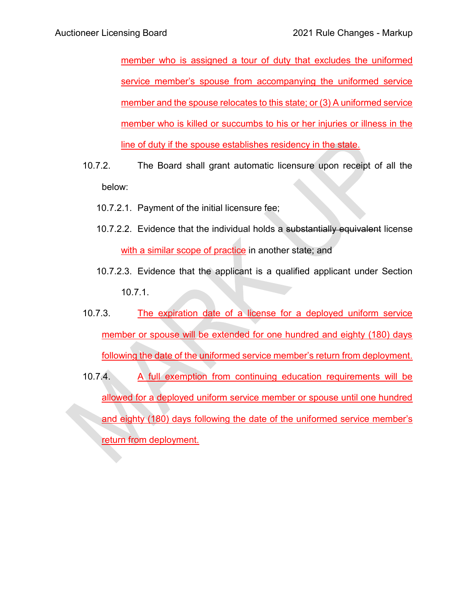member who is assigned a tour of duty that excludes the uniformed service member's spouse from accompanying the uniformed service member and the spouse relocates to this state; or (3) A uniformed service member who is killed or succumbs to his or her injuries or illness in the line of duty if the spouse establishes residency in the state.

- 10.7.2. The Board shall grant automatic licensure upon receipt of all the below:
	- 10.7.2.1. Payment of the initial licensure fee;
	- 10.7.2.2. Evidence that the individual holds a substantially equivalent license with a similar scope of practice in another state; and
	- 10.7.2.3. Evidence that the applicant is a qualified applicant under Section 10.7.1.
- 10.7.3. The expiration date of a license for a deployed uniform service member or spouse will be extended for one hundred and eighty (180) days following the date of the uniformed service member's return from deployment.
- 10.7.4. A full exemption from continuing education requirements will be allowed for a deployed uniform service member or spouse until one hundred and eighty (180) days following the date of the uniformed service member's return from deployment.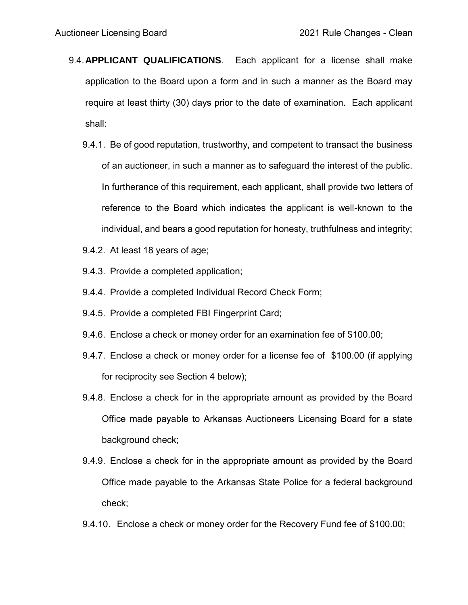- 9.4.**APPLICANT QUALIFICATIONS**. Each applicant for a license shall make application to the Board upon a form and in such a manner as the Board may require at least thirty (30) days prior to the date of examination. Each applicant shall:
	- 9.4.1. Be of good reputation, trustworthy, and competent to transact the business of an auctioneer, in such a manner as to safeguard the interest of the public. In furtherance of this requirement, each applicant, shall provide two letters of reference to the Board which indicates the applicant is well-known to the individual, and bears a good reputation for honesty, truthfulness and integrity;
	- 9.4.2. At least 18 years of age;
	- 9.4.3. Provide a completed application;
	- 9.4.4. Provide a completed Individual Record Check Form;
	- 9.4.5. Provide a completed FBI Fingerprint Card;
	- 9.4.6. Enclose a check or money order for an examination fee of \$100.00;
	- 9.4.7. Enclose a check or money order for a license fee of \$100.00 (if applying for reciprocity see Section 4 below);
	- 9.4.8. Enclose a check for in the appropriate amount as provided by the Board Office made payable to Arkansas Auctioneers Licensing Board for a state background check;
	- 9.4.9. Enclose a check for in the appropriate amount as provided by the Board Office made payable to the Arkansas State Police for a federal background check;
	- 9.4.10. Enclose a check or money order for the Recovery Fund fee of \$100.00;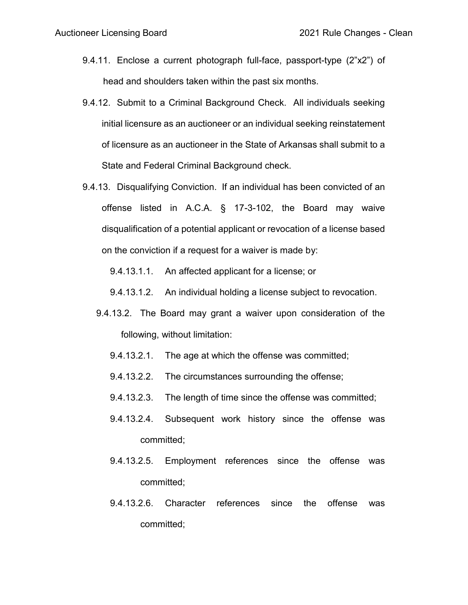- 9.4.11. Enclose a current photograph full-face, passport-type (2"x2") of head and shoulders taken within the past six months.
- 9.4.12. Submit to a Criminal Background Check. All individuals seeking initial licensure as an auctioneer or an individual seeking reinstatement of licensure as an auctioneer in the State of Arkansas shall submit to a State and Federal Criminal Background check.
- 9.4.13. Disqualifying Conviction. If an individual has been convicted of an offense listed in A.C.A. § 17-3-102, the Board may waive disqualification of a potential applicant or revocation of a license based on the conviction if a request for a waiver is made by:

9.4.13.1.1. An affected applicant for a license; or

- 9.4.13.1.2. An individual holding a license subject to revocation.
- 9.4.13.2. The Board may grant a waiver upon consideration of the following, without limitation:
	- 9.4.13.2.1. The age at which the offense was committed;
	- 9.4.13.2.2. The circumstances surrounding the offense;
	- 9.4.13.2.3. The length of time since the offense was committed;
	- 9.4.13.2.4. Subsequent work history since the offense was committed;
	- 9.4.13.2.5. Employment references since the offense was committed;
	- 9.4.13.2.6. Character references since the offense was committed;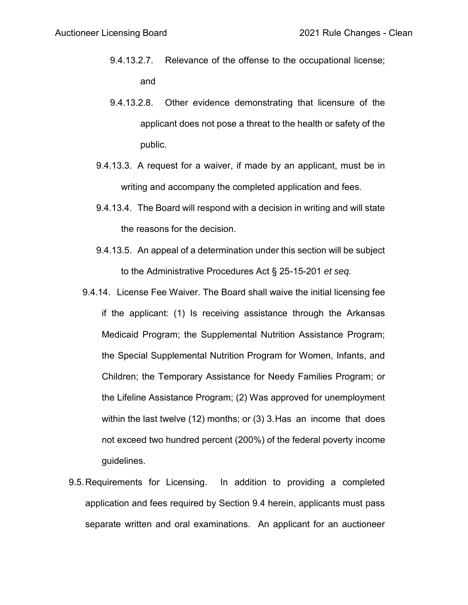- 9.4.13.2.7. Relevance of the offense to the occupational license; and
- 9.4.13.2.8. Other evidence demonstrating that licensure of the applicant does not pose a threat to the health or safety of the public.
- 9.4.13.3. A request for a waiver, if made by an applicant, must be in writing and accompany the completed application and fees.
- 9.4.13.4. The Board will respond with a decision in writing and will state the reasons for the decision.
- 9.4.13.5. An appeal of a determination under this section will be subject to the Administrative Procedures Act § 25-15-201 *et seq.*
- 9.4.14. License Fee Waiver. The Board shall waive the initial licensing fee if the applicant: (1) Is receiving assistance through the Arkansas Medicaid Program; the Supplemental Nutrition Assistance Program; the Special Supplemental Nutrition Program for Women, Infants, and Children; the Temporary Assistance for Needy Families Program; or the Lifeline Assistance Program; (2) Was approved for unemployment within the last twelve (12) months; or (3) 3.Has an income that does not exceed two hundred percent (200%) of the federal poverty income guidelines.
- 9.5.Requirements for Licensing. In addition to providing a completed application and fees required by Section 9.4 herein, applicants must pass separate written and oral examinations. An applicant for an auctioneer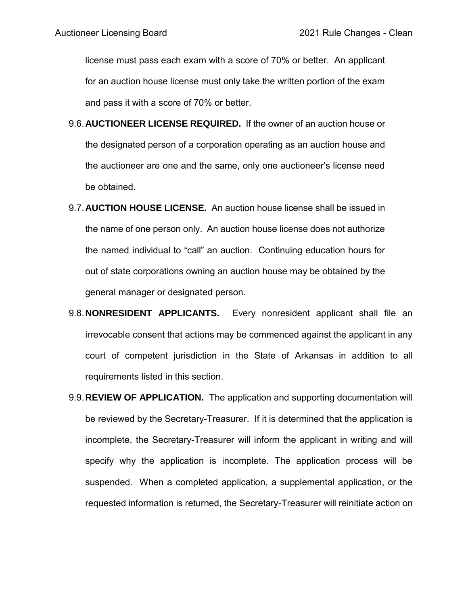license must pass each exam with a score of 70% or better. An applicant for an auction house license must only take the written portion of the exam and pass it with a score of 70% or better.

- 9.6.**AUCTIONEER LICENSE REQUIRED.** If the owner of an auction house or the designated person of a corporation operating as an auction house and the auctioneer are one and the same, only one auctioneer's license need be obtained.
- 9.7.**AUCTION HOUSE LICENSE.** An auction house license shall be issued in the name of one person only. An auction house license does not authorize the named individual to "call" an auction. Continuing education hours for out of state corporations owning an auction house may be obtained by the general manager or designated person.
- 9.8.**NONRESIDENT APPLICANTS.** Every nonresident applicant shall file an irrevocable consent that actions may be commenced against the applicant in any court of competent jurisdiction in the State of Arkansas in addition to all requirements listed in this section.
- 9.9.**REVIEW OF APPLICATION.** The application and supporting documentation will be reviewed by the Secretary-Treasurer. If it is determined that the application is incomplete, the Secretary-Treasurer will inform the applicant in writing and will specify why the application is incomplete. The application process will be suspended. When a completed application, a supplemental application, or the requested information is returned, the Secretary-Treasurer will reinitiate action on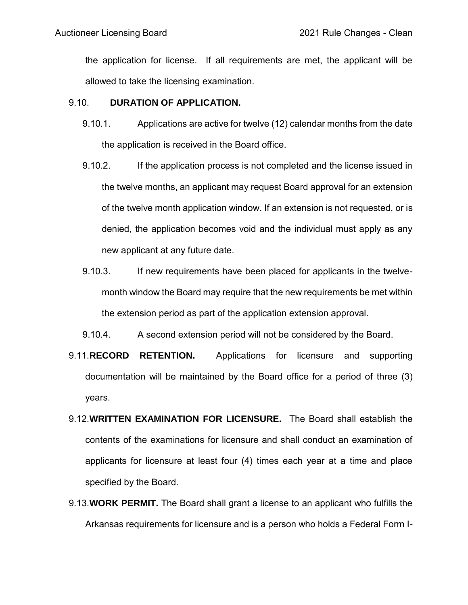the application for license. If all requirements are met, the applicant will be allowed to take the licensing examination.

## 9.10. **DURATION OF APPLICATION.**

- 9.10.1. Applications are active for twelve (12) calendar months from the date the application is received in the Board office.
- 9.10.2. If the application process is not completed and the license issued in the twelve months, an applicant may request Board approval for an extension of the twelve month application window. If an extension is not requested, or is denied, the application becomes void and the individual must apply as any new applicant at any future date.
- 9.10.3. If new requirements have been placed for applicants in the twelvemonth window the Board may require that the new requirements be met within the extension period as part of the application extension approval.
- 9.10.4. A second extension period will not be considered by the Board.
- 9.11.**RECORD RETENTION.** Applications for licensure and supporting documentation will be maintained by the Board office for a period of three (3) years.
- 9.12.**WRITTEN EXAMINATION FOR LICENSURE.** The Board shall establish the contents of the examinations for licensure and shall conduct an examination of applicants for licensure at least four (4) times each year at a time and place specified by the Board.
- 9.13.**WORK PERMIT.** The Board shall grant a license to an applicant who fulfills the Arkansas requirements for licensure and is a person who holds a Federal Form I-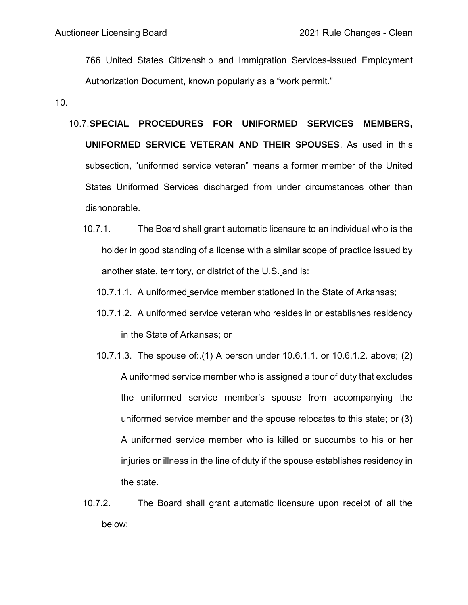766 United States Citizenship and Immigration Services-issued Employment Authorization Document, known popularly as a "work permit."

10.

- 10.7.**SPECIAL PROCEDURES FOR UNIFORMED SERVICES MEMBERS, UNIFORMED SERVICE VETERAN AND THEIR SPOUSES**. As used in this subsection, "uniformed service veteran" means a former member of the United States Uniformed Services discharged from under circumstances other than dishonorable.
	- 10.7.1. The Board shall grant automatic licensure to an individual who is the holder in good standing of a license with a similar scope of practice issued by another state, territory, or district of the U.S. and is:
		- 10.7.1.1. A uniformed service member stationed in the State of Arkansas;
		- 10.7.1.2. A uniformed service veteran who resides in or establishes residency in the State of Arkansas; or
		- 10.7.1.3. The spouse of:.(1) A person under 10.6.1.1. or 10.6.1.2. above; (2) A uniformed service member who is assigned a tour of duty that excludes the uniformed service member's spouse from accompanying the uniformed service member and the spouse relocates to this state; or (3) A uniformed service member who is killed or succumbs to his or her injuries or illness in the line of duty if the spouse establishes residency in the state.
	- 10.7.2. The Board shall grant automatic licensure upon receipt of all the below: